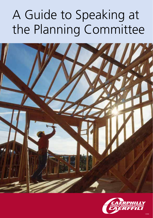# A Guide to Speaking at the Planning Committee



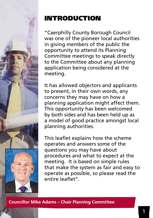

# INTRODUCTION

"Caerphilly County Borough Council was one of the pioneer local authorities in giving members of the public the opportunity to attend its Planning Committee meetings to speak directly to the Committee about any planning application being considered at the meeting.

It has allowed objectors and applicants to present, in their own words, any concerns they may have on how a planning application might affect them. This opportunity has been welcomed by both sides and has been held up as a model of good practice amongst local planning authorities.

This leaflet explains how the scheme operates and answers some of the questions you may have about procedures and what to expect at the meeting. It is based on simple rules that make the system as fair and easy to operate as possible, so please read the entire leaflet".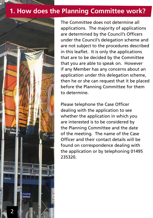### **1. How does the Planning Committee work?**



The Committee does not determine all applications. The majority of applications are determined by the Council's Officers under the Council's delegation scheme and are not subject to the procedures described in this leaflet. It is only the applications that are to be decided by the Committee that you are able to speak on. However if any Member has any concerns about an application under this delegation scheme, then he or she can request that it be placed before the Planning Committee for them to determine.

Please telephone the Case Officer dealing with the application to see whether the application in which you are interested is to be considered by the Planning Committee and the date of the meeting. The name of the Case Officer and their contact details will be found on correspondence dealing with the application or by telephoning 01495 235320.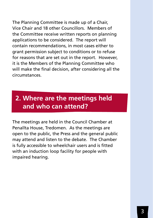The Planning Committee is made up of a Chair, Vice Chair and 18 other Councillors. Members of the Committee receive written reports on planning applications to be considered. The report will contain recommendations, in most cases either to grant permission subject to conditions or to refuse for reasons that are set out in the report. However, it is the Members of the Planning Committee who will make the final decision, after considering all the circumstances.

### **2. Where are the meetings held and who can attend?**

The meetings are held in the Council Chamber at Penallta House, Tredomen. As the meetings are open to the public, the Press and the general public may attend and listen to the debate. The Chamber is fully accessible to wheelchair users and is fitted with an induction loop facility for people with impaired hearing.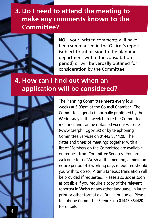### **3. Do I need to attend the meeting to make any comments known to the Committee?**



**NO** – your written comments will have been summarised in the Officer's report (subject to submission to the planning department within the consultation period) or will be verbally outlined for consideration by the Committee.

### **4. How can I find out when an application will be considered?**



The Planning Committee meets every four weeks at 5.00pm at the Council Chamber. The Committee agenda is normally published by the Wednesday in the week before the Committee meeting, and can be obtained via our website (www.caerphilly.gov.uk) or by telephoning Committee Services on 01443 864420. The dates and times of meetings together with a list of Members on the Committee are available on request from Committee Services. You are welcome to use Welsh at the meeting, a minimum notice period of 3 working days is required should you wish to do so. A simultaneous translation will be provided if requested. Please also ask as soon as possible if you require a copy of the relevant report(s) in Welsh or any other language, in large print or other format e.g. Braille or audio. Please telephone Committee Services on 01443 864420 for details.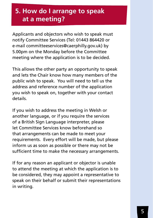# **5. How do I arrange to speak at a meeting?**

Applicants and objectors who wish to speak must notify Committee Services (Tel: 01443 864420 or e-mail committeeservices@caerphilly.gov.uk) by 5.00pm on the Monday before the Committee meeting where the application is to be decided.

This allows the other party an opportunity to speak and lets the Chair know how many members of the public wish to speak. You will need to tell us the address and reference number of the application you wish to speak on, together with your contact details.

If you wish to address the meeting in Welsh or another language, or if you require the services of a British Sign Language interpreter, please let Committee Services know beforehand so that arrangements can be made to meet your requirements. Every effort will be made, but please inform us as soon as possible or there may not be sufficient time to make the necessary arrangements.

If for any reason an applicant or objector is unable to attend the meeting at which the application is to be considered, they may appoint a representative to speak on their behalf or submit their representations in writing.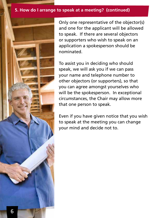#### **5. How do I arrange to speak at a meeting? (continued)**



Only one representative of the objector(s) and one for the applicant will be allowed to speak. If there are several objectors or supporters who wish to speak on an application a spokesperson should be nominated.

To assist you in deciding who should speak, we will ask you if we can pass your name and telephone number to other objectors (or supporters), so that you can agree amongst yourselves who will be the spokesperson. In exceptional circumstances, the Chair may allow more that one person to speak.

Even if you have given notice that you wish to speak at the meeting you can change your mind and decide not to.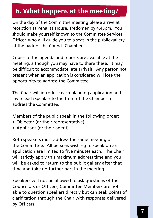# **6. What happens at the meeting?**

On the day of the Committee meeting please arrive at reception at Penallta House, Tredomen by 4.45pm. You should make yourself known to the Committee Services Officer, who will guide you to a seat in the public gallery at the back of the Council Chamber.

Copies of the agenda and reports are available at the meeting, although you may have to share these. It may be difficult to accommodate late arrivals. Any person not present when an application is considered will lose the opportunity to address the Committee.

The Chair will introduce each planning application and invite each speaker to the front of the Chamber to address the Committee.

Members of the public speak in the following order:

- Objector (or their representative)
- Applicant (or their agent)

Both speakers must address the same meeting of the Committee. All persons wishing to speak on an application are limited to five minutes each. The Chair will strictly apply this maximum address time and you will be asked to return to the public gallery after that time and take no further part in the meeting.

Speakers will not be allowed to ask questions of the Councillors or Officers, Committee Members are not able to question speakers directly but can seek points of clarification through the Chair with responses delivered by Officers.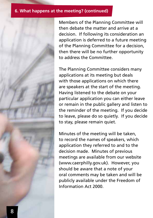#### **6. What happens at the meeting? (continued)**



The Planning Committee considers many applications at its meeting but deals with those applications on which there are speakers at the start of the meeting. Having listened to the debate on your particular application you can either leave or remain in the public gallery and listen to the reminder of the meeting. If you decide to leave, please do so quietly. If you decide to stay, please remain quiet.

Minutes of the meeting will be taken, to record the names of speakers, which application they referred to and to the decision made. Minutes of previous meetings are available from our website (www.caerphilly.gov.uk). However, you should be aware that a note of your oral comments may be taken and will be publicly available under the Freedom of Information Act 2000.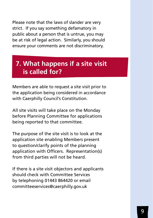Please note that the laws of slander are very strict. If you say something defamatory in public about a person that is untrue, you may be at risk of legal action. Similarly, you should ensure your comments are not discriminatory.

### **7. What happens if a site visit is called for?**

Members are able to request a site visit prior to the application being considered in accordance with Caerphilly Council's Constitution.

All site visits will take place on the Monday before Planning Committee for applications being reported to that committee.

The purpose of the site visit is to look at the application site enabling Members present to question/clarify points of the planning application with Officers. Representation(s) from third parties will not be heard.

If there is a site visit objectors and applicants should check with Committee Services by telephoning 01443 864420 or email committeeservices@caerphilly.gov.uk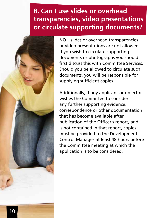# **8. Can I use slides or overhead transparencies, video presentations or circulate supporting documents?**



**NO** – slides or overhead transparencies or video presentations are not allowed. If you wish to circulate supporting documents or photographs you should first discuss this with Committee Services. Should you be allowed to circulate such documents, you will be responsible for supplying sufficient copies.

Additionally, if any applicant or objector wishes the Committee to consider any further supporting evidence, correspondence or other documentation that has become available after publication of the Officer's report, and is not contained in that report, copies must be provided to the Development Control Manager at least 48 hours before the Committee meeting at which the application is to be considered.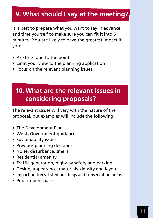### **9. What should I say at the meeting?**

It is best to prepare what you want to say in advance and time yourself to make sure you can fit it into 5 minutes. You are likely to have the greatest impact if you:

- Are brief and to the point
- Limit your view to the planning application
- Focus on the relevant planning issues

# **10. What are the relevant issues in considering proposals?**

The relevant issues will vary with the nature of the proposal, but examples will include the following:

- The Development Plan
- Welsh Government guidance
- Sustainability issues
- Previous planning decisions
- Noise, disturbance, smells
- Residential amenity
- Traffic generation, highway safety and parking
- Design, appearance, materials, density and layout
- Impact on trees, listed buildings and conservation areas
- Public open space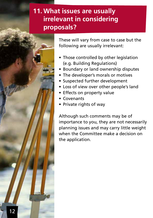### **11. What issues are usually irrelevant in considering proposals?**



These will vary from case to case but the following are usually irrelevant:

- Those controlled by other legislation (e.g. Building Regulations)
- Boundary or land ownership disputes
- The developer's morals or motives
- Suspected further development
- Loss of view over other people's land
- Effects on property value
- Covenants
- Private rights of way

Although such comments may be of importance to you, they are not necessarily planning issues and may carry little weight when the Committee make a decision on the application.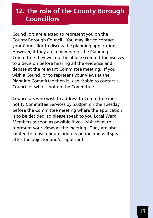# **12. The role of the County Borough Councillors**

Councillors are elected to represent you on the County Borough Council. You may like to contact your Councillor to discuss the planning application. However, if they are a member of the Planning Committee they will not be able to commit themselves to a decision before hearing all the evidence and debate at the relevant Committee meeting. If you wish a Councillor to represent your views at the Planning Committee then it is advisable to contact a Councillor who is not on the Committee.

Councillors who wish to address to Committee must notify Committee Services by 5.00pm on the Tuesday before the Committee meeting where the application is to be decided, so please speak to you Local Ward Members as soon as possible if you wish them to represent your views at the meeting. They are also limited to a five minute address period and will speak after the objector and/or applicant.